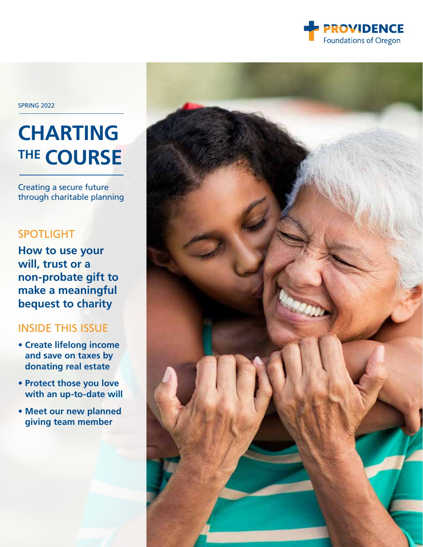

SPRING 2022

### **CHARTING THE COURSE**

Creating a secure future through charitable planning

### [SPOTLIGHT](#page-1-0)

**[How to use your](#page-1-0)  [will, trust or a](#page-1-0)  [non-probate gift to](#page-1-0)  [make a meaningful](#page-1-0)  [bequest to charity](#page-1-0)** 

### INSIDE THIS ISSUE

- **[Create lifelong income](#page-4-0)  [and save on taxes by](#page-4-0)  [donating real estate](#page-4-0)**
- **[Protect those you love](#page-3-0)  [with an up-to-date will](#page-3-0)**
- **[Meet our new planned](#page-4-0)  [giving team member](#page-4-0)**

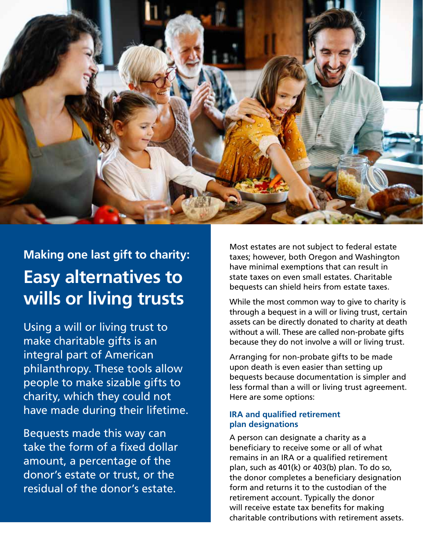<span id="page-1-0"></span>

### **Making one last gift to charity: Easy alternatives to wills or living trusts**

Using a will or living trust to make charitable gifts is an integral part of American philanthropy. These tools allow people to make sizable gifts to charity, which they could not have made during their lifetime.

Bequests made this way can take the form of a fixed dollar amount, a percentage of the donor's estate or trust, or the residual of the donor's estate.

Most estates are not subject to federal estate taxes; however, both Oregon and Washington have minimal exemptions that can result in state taxes on even small estates. Charitable bequests can shield heirs from estate taxes.

While the most common way to give to charity is through a bequest in a will or living trust, certain assets can be directly donated to charity at death without a will. These are called non-probate gifts because they do not involve a will or living trust.

Arranging for non-probate gifts to be made upon death is even easier than setting up bequests because documentation is simpler and less formal than a will or living trust agreement. Here are some options:

### **IRA and qualified retirement plan designations**

A person can designate a charity as a beneficiary to receive some or all of what remains in an IRA or a qualified retirement plan, such as 401(k) or 403(b) plan. To do so, the donor completes a beneficiary designation form and returns it to the custodian of the retirement account. Typically the donor will receive estate tax benefits for making charitable contributions with retirement assets.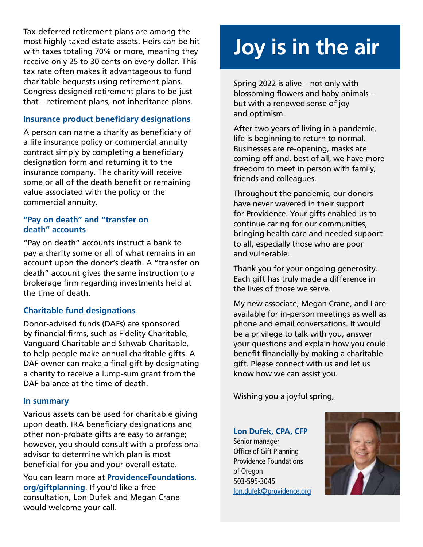Tax-deferred retirement plans are among the most highly taxed estate assets. Heirs can be hit with taxes totaling 70% or more, meaning they receive only 25 to 30 cents on every dollar. This tax rate often makes it advantageous to fund charitable bequests using retirement plans. Congress designed retirement plans to be just that – retirement plans, not inheritance plans.

### **Insurance product beneficiary designations**

A person can name a charity as beneficiary of a life insurance policy or commercial annuity contract simply by completing a beneficiary designation form and returning it to the insurance company. The charity will receive some or all of the death benefit or remaining value associated with the policy or the commercial annuity.

### **"Pay on death" and "transfer on death" accounts**

"Pay on death" accounts instruct a bank to pay a charity some or all of what remains in an account upon the donor's death. A "transfer on death" account gives the same instruction to a brokerage firm regarding investments held at the time of death.

### **Charitable fund designations**

Donor-advised funds (DAFs) are sponsored by financial firms, such as Fidelity Charitable, Vanguard Charitable and Schwab Charitable, to help people make annual charitable gifts. A DAF owner can make a final gift by designating a charity to receive a lump-sum grant from the DAF balance at the time of death.

### **In summary**

Various assets can be used for charitable giving upon death. IRA beneficiary designations and other non-probate gifts are easy to arrange; however, you should consult with a professional advisor to determine which plan is most beneficial for you and your overall estate.

You can learn more at **[ProvidenceFoundations.](mailto:https://ProvidenceFoundations.org/giftplanning?subject=) [org/giftplanning](mailto:https://ProvidenceFoundations.org/giftplanning?subject=)**. If you'd like a free consultation, Lon Dufek and Megan Crane would welcome your call.

# **Joy is in the air**

Spring 2022 is alive – not only with blossoming flowers and baby animals – but with a renewed sense of joy and optimism.

After two years of living in a pandemic, life is beginning to return to normal. Businesses are re-opening, masks are coming off and, best of all, we have more freedom to meet in person with family, friends and colleagues.

Throughout the pandemic, our donors have never wavered in their support for Providence. Your gifts enabled us to continue caring for our communities, bringing health care and needed support to all, especially those who are poor and vulnerable.

Thank you for your ongoing generosity. Each gift has truly made a difference in the lives of those we serve.

My new associate, Megan Crane, and I are available for in-person meetings as well as phone and email conversations. It would be a privilege to talk with you, answer your questions and explain how you could benefit financially by making a charitable gift. Please connect with us and let us know how we can assist you.

Wishing you a joyful spring,

### **Lon Dufek, CPA, CFP**

Senior manager Office of Gift Planning Providence Foundations of Oregon 503-595-3045 [lon.dufek@providence.org](mailto:lon.dufek%40providence.org%20?subject=)

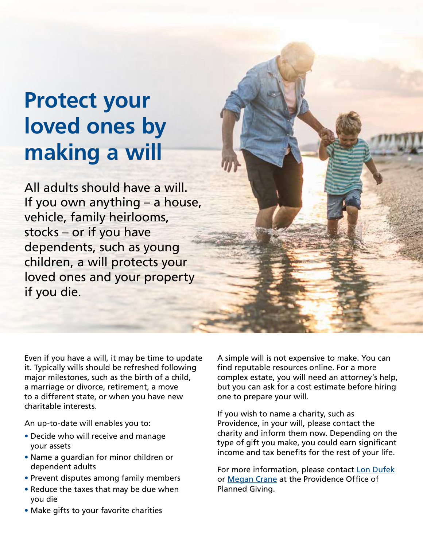## <span id="page-3-0"></span>**Protect your loved ones by making a will**

All adults should have a will. If you own anything – a house, vehicle, family heirlooms, stocks – or if you have dependents, such as young children, a will protects your loved ones and your property if you die.

Even if you have a will, it may be time to update it. Typically wills should be refreshed following major milestones, such as the birth of a child, a marriage or divorce, retirement, a move to a different state, or when you have new charitable interests.

An up-to-date will enables you to:

- Decide who will receive and manage your assets
- Name a guardian for minor children or dependent adults
- Prevent disputes among family members
- Reduce the taxes that may be due when you die

A simple will is not expensive to make. You can find reputable resources online. For a more complex estate, you will need an attorney's help, but you can ask for a cost estimate before hiring one to prepare your will.

If you wish to name a charity, such as Providence, in your will, please contact the charity and inform them now. Depending on the type of gift you make, you could earn significant income and tax benefits for the rest of your life.

For more information, please contact [Lon Dufek](mailto:lon.dufek%40providence.org?subject=) or [Megan Crane](mailto:megan.crane%40providence.org?subject=) at the Providence Office of Planned Giving.

• Make gifts to your favorite charities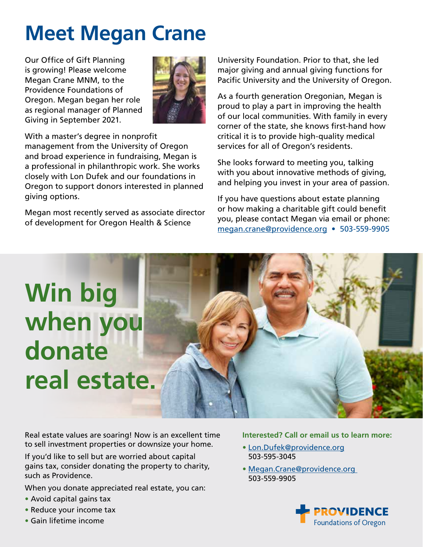### <span id="page-4-0"></span>**Meet Megan Crane**

Our Office of Gift Planning is growing! Please welcome Megan Crane MNM, to the Providence Foundations of Oregon. Megan began her role as regional manager of Planned Giving in September 2021.



With a master's degree in nonprofit management from the University of Oregon and broad experience in fundraising, Megan is a professional in philanthropic work. She works closely with Lon Dufek and our foundations in Oregon to support donors interested in planned giving options.

Megan most recently served as associate director of development for Oregon Health & Science

University Foundation. Prior to that, she led major giving and annual giving functions for Pacific University and the University of Oregon.

As a fourth generation Oregonian, Megan is proud to play a part in improving the health of our local communities. With family in every corner of the state, she knows first-hand how critical it is to provide high-quality medical services for all of Oregon's residents.

She looks forward to meeting you, talking with you about innovative methods of giving, and helping you invest in your area of passion.

If you have questions about estate planning or how making a charitable gift could benefit you, please contact Megan via email or phone: [megan.crane@providence.org](mailto:megan.crane%40providence.org?subject=) • 503-559-9905

# **Win big when you donate real estate.**

Real estate values are soaring! Now is an excellent time to sell investment properties or downsize your home.

If you'd like to sell but are worried about capital gains tax, consider donating the property to charity, such as Providence.

When you donate appreciated real estate, you can:

- Avoid capital gains tax
- Reduce your income tax
- Gain lifetime income

#### **Interested? Call or email us to learn more:**

- [Lon.Dufek@providence.org](mailto:%20Lon.Dufek%40providence.org?subject=) 503-595-3045
- [Megan.Crane@providence.org](mailto:Megan.Crane%40providence.org%20?subject=)  503-559-9905